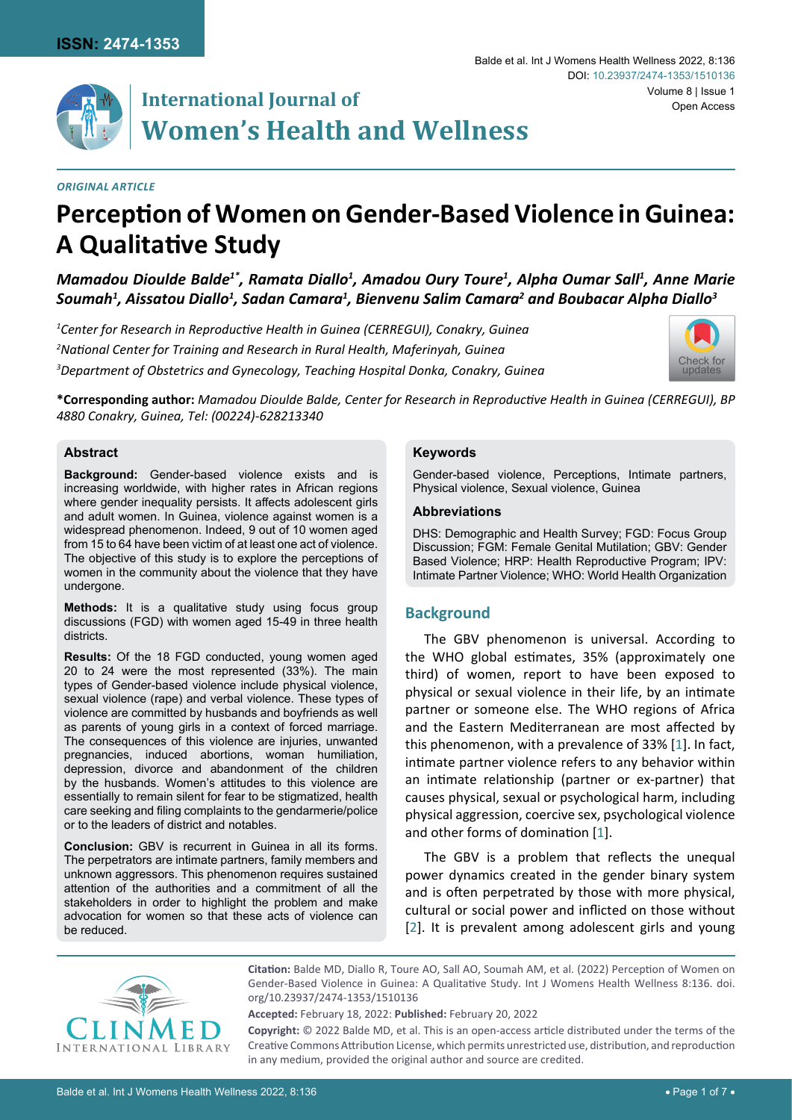

# **International Journal of Women's Health and Wellness**

#### *Original Article*

# **Perception of Women on Gender-Based Violence in Guinea: A Qualitative Study**

*Mamadou Dioulde Balde1\*, Ramata Diallo1 , Amadou Oury Toure1 , Alpha Oumar Sall1 , Anne Marie Soumah1 , Aissatou Diallo1 , Sadan Camara1 , Bienvenu Salim Camara2 and Boubacar Alpha Diallo3*

*1 Center for Research in Reproductive Health in Guinea (CERREGUI), Conakry, Guinea 2 National Center for Training and Research in Rural Health, Maferinyah, Guinea 3 Department of Obstetrics and Gynecology, Teaching Hospital Donka, Conakry, Guinea*



**\*Corresponding author:** *Mamadou Dioulde Balde, Center for Research in Reproductive Health in Guinea (CERREGUI), BP 4880 Conakry, Guinea, Tel: (00224)-628213340*

#### **Abstract**

**Background:** Gender-based violence exists and is increasing worldwide, with higher rates in African regions where gender inequality persists. It affects adolescent girls and adult women. In Guinea, violence against women is a widespread phenomenon. Indeed, 9 out of 10 women aged from 15 to 64 have been victim of at least one act of violence. The objective of this study is to explore the perceptions of women in the community about the violence that they have undergone.

**Methods:** It is a qualitative study using focus group discussions (FGD) with women aged 15-49 in three health districts.

**Results:** Of the 18 FGD conducted, young women aged 20 to 24 were the most represented (33%). The main types of Gender-based violence include physical violence, sexual violence (rape) and verbal violence. These types of violence are committed by husbands and boyfriends as well as parents of young girls in a context of forced marriage. The consequences of this violence are injuries, unwanted pregnancies, induced abortions, woman humiliation, depression, divorce and abandonment of the children by the husbands. Women's attitudes to this violence are essentially to remain silent for fear to be stigmatized, health care seeking and filing complaints to the gendarmerie/police or to the leaders of district and notables.

**Conclusion:** GBV is recurrent in Guinea in all its forms. The perpetrators are intimate partners, family members and unknown aggressors. This phenomenon requires sustained attention of the authorities and a commitment of all the stakeholders in order to highlight the problem and make advocation for women so that these acts of violence can be reduced.

#### **Keywords**

Gender-based violence, Perceptions, Intimate partners, Physical violence, Sexual violence, Guinea

#### **Abbreviations**

DHS: Demographic and Health Survey; FGD: Focus Group Discussion; FGM: Female Genital Mutilation; GBV: Gender Based Violence; HRP: Health Reproductive Program; IPV: Intimate Partner Violence; WHO: World Health Organization

## **Background**

The GBV phenomenon is universal. According to the WHO global estimates, 35% (approximately one third) of women, report to have been exposed to physical or sexual violence in their life, by an intimate partner or someone else. The WHO regions of Africa and the Eastern Mediterranean are most affected by this phenomenon, with a prevalence of 33% [[1](#page-6-0)]. In fact, intimate partner violence refers to any behavior within an intimate relationship (partner or ex-partner) that causes physical, sexual or psychological harm, including physical aggression, coercive sex, psychological violence and other forms of domination [[1](#page-6-0)].

The GBV is a problem that reflects the unequal power dynamics created in the gender binary system and is often perpetrated by those with more physical, cultural or social power and inflicted on those without [[2](#page-6-1)]. It is prevalent among adolescent girls and young



**Citation:** Balde MD, Diallo R, Toure AO, Sall AO, Soumah AM, et al. (2022) Perception of Women on Gender-Based Violence in Guinea: A Qualitative Study. Int J Womens Health Wellness 8:136. [doi.](https://doi.org/10.23937/2474-1353/1510136) [org/10.23937/2474-1353/1510136](https://doi.org/10.23937/2474-1353/1510136)

**Accepted:** February 18, 2022: **Published:** February 20, 2022

**Copyright:** © 2022 Balde MD, et al. This is an open-access article distributed under the terms of the Creative Commons Attribution License, which permits unrestricted use, distribution, and reproduction in any medium, provided the original author and source are credited.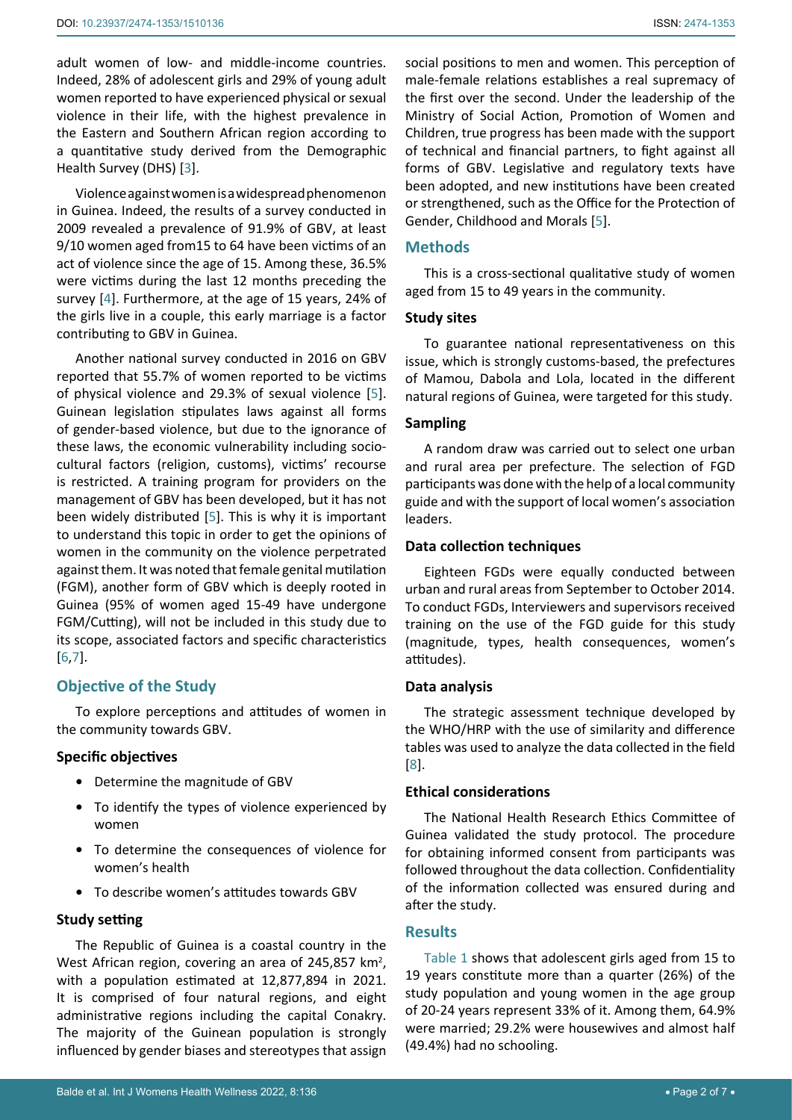adult women of low- and middle-income countries. Indeed, 28% of adolescent girls and 29% of young adult women reported to have experienced physical or sexual violence in their life, with the highest prevalence in the Eastern and Southern African region according to a quantitative study derived from the Demographic Health Survey (DHS) [\[3](#page-6-4)].

Violence against women is a widespread phenomenon in Guinea. Indeed, the results of a survey conducted in 2009 revealed a prevalence of 91.9% of GBV, at least 9/10 women aged from15 to 64 have been victims of an act of violence since the age of 15. Among these, 36.5% were victims during the last 12 months preceding the survey [\[4\]](#page-6-5). Furthermore, at the age of 15 years, 24% of the girls live in a couple, this early marriage is a factor contributing to GBV in Guinea.

Another national survey conducted in 2016 on GBV reported that 55.7% of women reported to be victims of physical violence and 29.3% of sexual violence [[5](#page-6-2)]. Guinean legislation stipulates laws against all forms of gender-based violence, but due to the ignorance of these laws, the economic vulnerability including sociocultural factors (religion, customs), victims' recourse is restricted. A training program for providers on the management of GBV has been developed, but it has not been widely distributed [[5](#page-6-2)]. This is why it is important to understand this topic in order to get the opinions of women in the community on the violence perpetrated against them. It was noted that female genital mutilation (FGM), another form of GBV which is deeply rooted in Guinea (95% of women aged 15-49 have undergone FGM/Cutting), will not be included in this study due to its scope, associated factors and specific characteristics [[6](#page-6-6),[7](#page-6-7)].

# **Objective of the Study**

To explore perceptions and attitudes of women in the community towards GBV.

## **Specific objectives**

- **•** Determine the magnitude of GBV
- **•** To identify the types of violence experienced by women
- **•** To determine the consequences of violence for women's health
- **•** To describe women's attitudes towards GBV

#### **Study setting**

The Republic of Guinea is a coastal country in the West African region, covering an area of 245,857  $km^2$ , with a population estimated at 12,877,894 in 2021. It is comprised of four natural regions, and eight administrative regions including the capital Conakry. The majority of the Guinean population is strongly influenced by gender biases and stereotypes that assign

social positions to men and women. This perception of male-female relations establishes a real supremacy of the first over the second. Under the leadership of the Ministry of Social Action, Promotion of Women and Children, true progress has been made with the support of technical and financial partners, to fight against all forms of GBV. Legislative and regulatory texts have been adopted, and new institutions have been created or strengthened, such as the Office for the Protection of Gender, Childhood and Morals [[5](#page-6-2)].

## **Methods**

This is a cross-sectional qualitative study of women aged from 15 to 49 years in the community.

## **Study sites**

To guarantee national representativeness on this issue, which is strongly customs-based, the prefectures of Mamou, Dabola and Lola, located in the different natural regions of Guinea, were targeted for this study.

## **Sampling**

A random draw was carried out to select one urban and rural area per prefecture. The selection of FGD participants was done with the help of a local community guide and with the support of local women's association leaders.

## **Data collection techniques**

Eighteen FGDs were equally conducted between urban and rural areas from September to October 2014. To conduct FGDs, Interviewers and supervisors received training on the use of the FGD guide for this study (magnitude, types, health consequences, women's attitudes).

#### **Data analysis**

The strategic assessment technique developed by the WHO/HRP with the use of similarity and difference tables was used to analyze the data collected in the field [\[8](#page-6-3)].

## **Ethical considerations**

The National Health Research Ethics Committee of Guinea validated the study protocol. The procedure for obtaining informed consent from participants was followed throughout the data collection. Confidentiality of the information collected was ensured during and after the study.

#### **Results**

[Table 1](#page-2-0) shows that adolescent girls aged from 15 to 19 years constitute more than a quarter (26%) of the study population and young women in the age group of 20-24 years represent 33% of it. Among them, 64.9% were married; 29.2% were housewives and almost half (49.4%) had no schooling.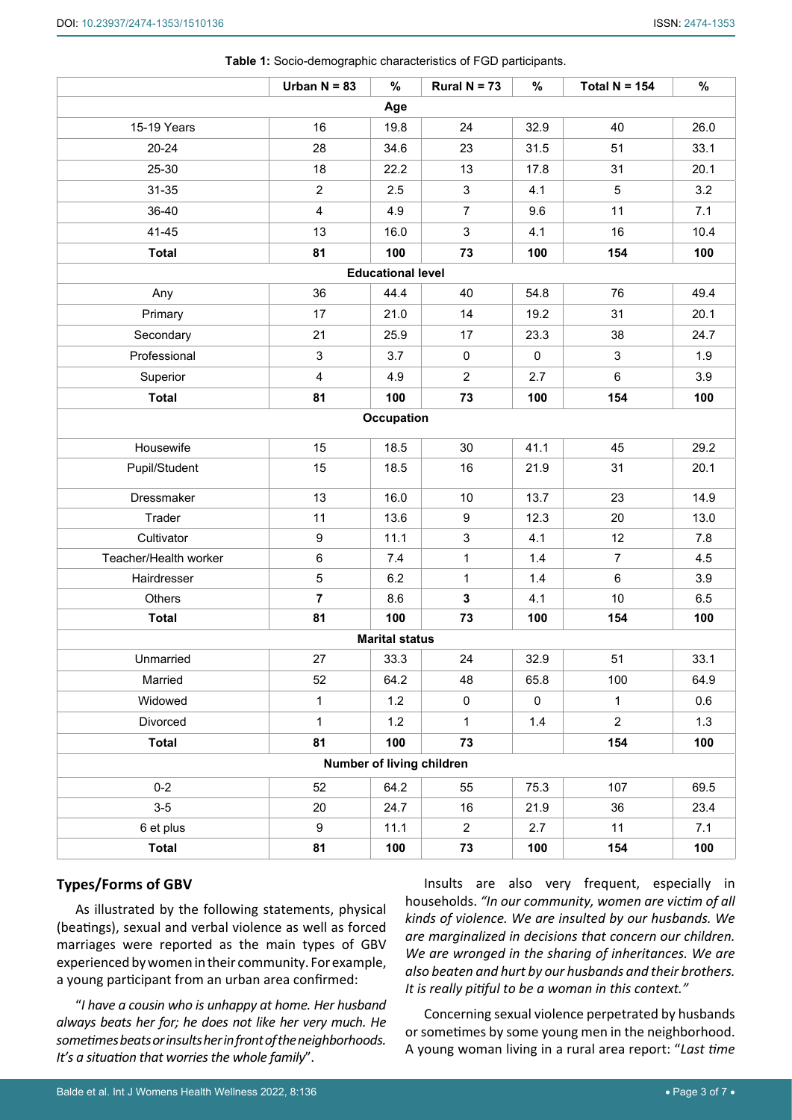|                           | Urban $N = 83$   | $\%$ | Rural $N = 73$ | $\%$        | Total $N = 154$ | $\%$ |
|---------------------------|------------------|------|----------------|-------------|-----------------|------|
| Age                       |                  |      |                |             |                 |      |
| 15-19 Years               | 16               | 19.8 | 24             | 32.9        | 40              | 26.0 |
| 20-24                     | 28               | 34.6 | 23             | 31.5        | 51              | 33.1 |
| 25-30                     | 18               | 22.2 | 13             | 17.8        | 31              | 20.1 |
| 31-35                     | $\overline{2}$   | 2.5  | 3              | 4.1         | 5               | 3.2  |
| 36-40                     | $\overline{4}$   | 4.9  | $\overline{7}$ | 9.6         | 11              | 7.1  |
| 41-45                     | 13               | 16.0 | $\mathsf 3$    | 4.1         | 16              | 10.4 |
| <b>Total</b>              | 81               | 100  | 73             | 100         | 154             | 100  |
| <b>Educational level</b>  |                  |      |                |             |                 |      |
| Any                       | 36               | 44.4 | 40             | 54.8        | 76              | 49.4 |
| Primary                   | 17               | 21.0 | 14             | 19.2        | 31              | 20.1 |
| Secondary                 | 21               | 25.9 | 17             | 23.3        | 38              | 24.7 |
| Professional              | $\mathfrak{S}$   | 3.7  | 0              | 0           | 3               | 1.9  |
| Superior                  | $\overline{4}$   | 4.9  | $\overline{c}$ | 2.7         | $\,6\,$         | 3.9  |
| <b>Total</b>              | 81               | 100  | 73             | 100         | 154             | 100  |
| Occupation                |                  |      |                |             |                 |      |
| Housewife                 | 15               | 18.5 | 30             | 41.1        | 45              | 29.2 |
| Pupil/Student             | 15               | 18.5 | 16             | 21.9        | 31              | 20.1 |
| Dressmaker                | 13               | 16.0 | 10             | 13.7        | 23              | 14.9 |
| Trader                    | 11               | 13.6 | 9              | 12.3        | 20              | 13.0 |
| Cultivator                | $\boldsymbol{9}$ | 11.1 | 3              | 4.1         | 12              | 7.8  |
| Teacher/Health worker     | $\,6\,$          | 7.4  | $\mathbf{1}$   | 1.4         | $\overline{7}$  | 4.5  |
| Hairdresser               | 5                | 6.2  | 1              | 1.4         | $\,6\,$         | 3.9  |
| Others                    | $\overline{7}$   | 8.6  | $\mathbf 3$    | 4.1         | 10              | 6.5  |
| <b>Total</b>              | 81               | 100  | 73             | 100         | 154             | 100  |
| <b>Marital status</b>     |                  |      |                |             |                 |      |
| Unmarried                 | 27               | 33.3 | 24             | 32.9        | 51              | 33.1 |
| Married                   | 52               | 64.2 | 48             | 65.8        | 100             | 64.9 |
| Widowed                   | $\mathbf{1}$     | 1.2  | $\mathsf 0$    | $\mathbf 0$ | $\mathbf{1}$    | 0.6  |
| Divorced                  | $\mathbf{1}$     | 1.2  | 1              | 1.4         | $\overline{a}$  | 1.3  |
| <b>Total</b>              | 81               | 100  | 73             |             | 154             | 100  |
| Number of living children |                  |      |                |             |                 |      |
| $0 - 2$                   | 52               | 64.2 | 55             | 75.3        | 107             | 69.5 |
| $3-5$                     | 20               | 24.7 | 16             | 21.9        | 36              | 23.4 |
| 6 et plus                 | 9                | 11.1 | $\overline{2}$ | 2.7         | 11              | 7.1  |
| <b>Total</b>              | 81               | 100  | 73             | 100         | 154             | 100  |

<span id="page-2-0"></span>**Table 1:** Socio-demographic characteristics of FGD participants.

#### **Types/Forms of GBV**

As illustrated by the following statements, physical (beatings), sexual and verbal violence as well as forced marriages were reported as the main types of GBV experienced by women in their community. For example, a young participant from an urban area confirmed:

"*I have a cousin who is unhappy at home. Her husband always beats her for; he does not like her very much. He sometimes beats or insults her in front of the neighborhoods. It's a situation that worries the whole family*".

Insults are also very frequent, especially in households. *"In our community, women are victim of all kinds of violence. We are insulted by our husbands. We are marginalized in decisions that concern our children. We are wronged in the sharing of inheritances. We are also beaten and hurt by our husbands and their brothers. It is really pitiful to be a woman in this context."*

Concerning sexual violence perpetrated by husbands or sometimes by some young men in the neighborhood. A young woman living in a rural area report: "*Last time*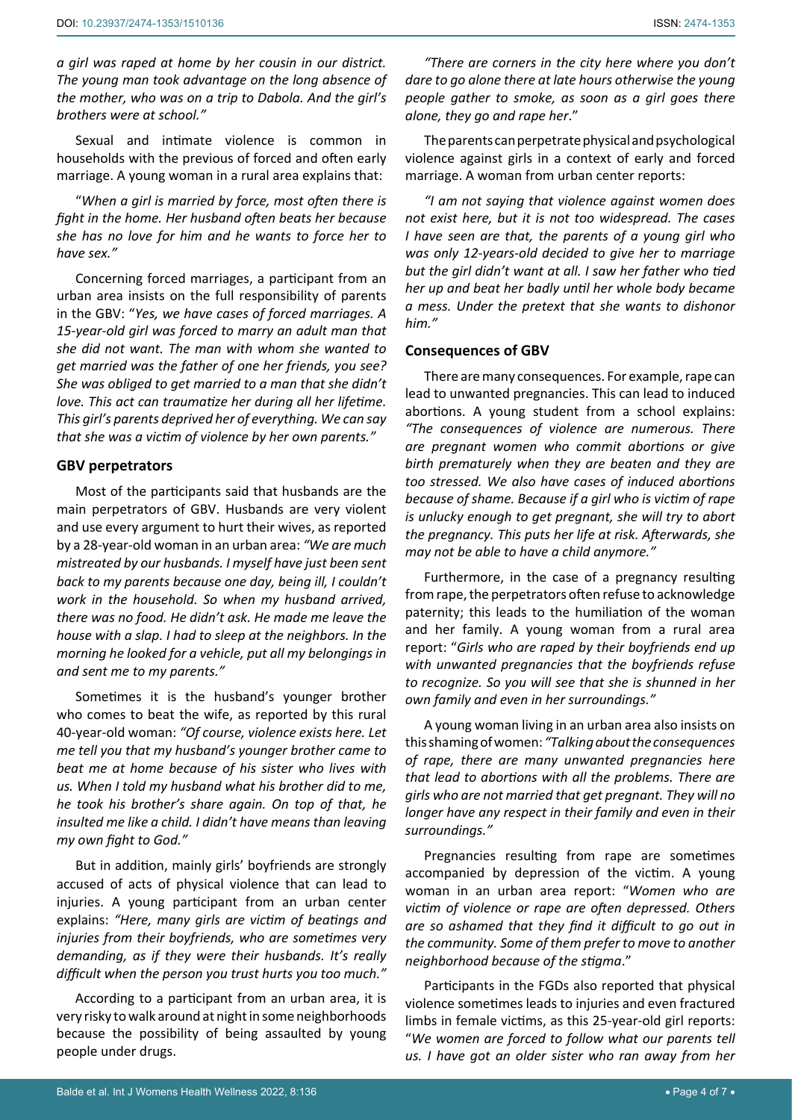*a girl was raped at home by her cousin in our district. The young man took advantage on the long absence of the mother, who was on a trip to Dabola. And the girl's brothers were at school."*

Sexual and intimate violence is common in households with the previous of forced and often early marriage. A young woman in a rural area explains that:

"*When a girl is married by force, most often there is fight in the home. Her husband often beats her because she has no love for him and he wants to force her to have sex."*

Concerning forced marriages, a participant from an urban area insists on the full responsibility of parents in the GBV: "*Yes, we have cases of forced marriages. A 15-year-old girl was forced to marry an adult man that she did not want. The man with whom she wanted to get married was the father of one her friends, you see? She was obliged to get married to a man that she didn't love. This act can traumatize her during all her lifetime. This girl's parents deprived her of everything. We can say that she was a victim of violence by her own parents."*

#### **GBV perpetrators**

Most of the participants said that husbands are the main perpetrators of GBV. Husbands are very violent and use every argument to hurt their wives, as reported by a 28-year-old woman in an urban area: *"We are much mistreated by our husbands. I myself have just been sent back to my parents because one day, being ill, I couldn't work in the household. So when my husband arrived, there was no food. He didn't ask. He made me leave the house with a slap. I had to sleep at the neighbors. In the morning he looked for a vehicle, put all my belongings in and sent me to my parents."*

Sometimes it is the husband's younger brother who comes to beat the wife, as reported by this rural 40-year-old woman: *"Of course, violence exists here. Let me tell you that my husband's younger brother came to beat me at home because of his sister who lives with us. When I told my husband what his brother did to me, he took his brother's share again. On top of that, he insulted me like a child. I didn't have means than leaving my own fight to God."*

But in addition, mainly girls' boyfriends are strongly accused of acts of physical violence that can lead to injuries. A young participant from an urban center explains: *"Here, many girls are victim of beatings and injuries from their boyfriends, who are sometimes very demanding, as if they were their husbands. It's really difficult when the person you trust hurts you too much."*

According to a participant from an urban area, it is very risky to walk around at night in some neighborhoods because the possibility of being assaulted by young people under drugs.

*"There are corners in the city here where you don't dare to go alone there at late hours otherwise the young people gather to smoke, as soon as a girl goes there alone, they go and rape her*."

The parents can perpetrate physical and psychological violence against girls in a context of early and forced marriage. A woman from urban center reports:

*"I am not saying that violence against women does not exist here, but it is not too widespread. The cases I have seen are that, the parents of a young girl who was only 12-years-old decided to give her to marriage but the girl didn't want at all. I saw her father who tied her up and beat her badly until her whole body became a mess. Under the pretext that she wants to dishonor him."*

## **Consequences of GBV**

There are many consequences. For example, rape can lead to unwanted pregnancies. This can lead to induced abortions. A young student from a school explains: *"The consequences of violence are numerous. There are pregnant women who commit abortions or give birth prematurely when they are beaten and they are too stressed. We also have cases of induced abortions because of shame. Because if a girl who is victim of rape is unlucky enough to get pregnant, she will try to abort the pregnancy. This puts her life at risk. Afterwards, she may not be able to have a child anymore."*

Furthermore, in the case of a pregnancy resulting from rape, the perpetrators often refuse to acknowledge paternity; this leads to the humiliation of the woman and her family. A young woman from a rural area report: "*Girls who are raped by their boyfriends end up with unwanted pregnancies that the boyfriends refuse to recognize. So you will see that she is shunned in her own family and even in her surroundings."*

A young woman living in an urban area also insists on this shaming of women: *"Talking about the consequences of rape, there are many unwanted pregnancies here that lead to abortions with all the problems. There are girls who are not married that get pregnant. They will no longer have any respect in their family and even in their surroundings."*

Pregnancies resulting from rape are sometimes accompanied by depression of the victim. A young woman in an urban area report: "*Women who are victim of violence or rape are often depressed. Others are so ashamed that they find it difficult to go out in the community. Some of them prefer to move to another neighborhood because of the stigma*."

Participants in the FGDs also reported that physical violence sometimes leads to injuries and even fractured limbs in female victims, as this 25-year-old girl reports: "*We women are forced to follow what our parents tell us. I have got an older sister who ran away from her*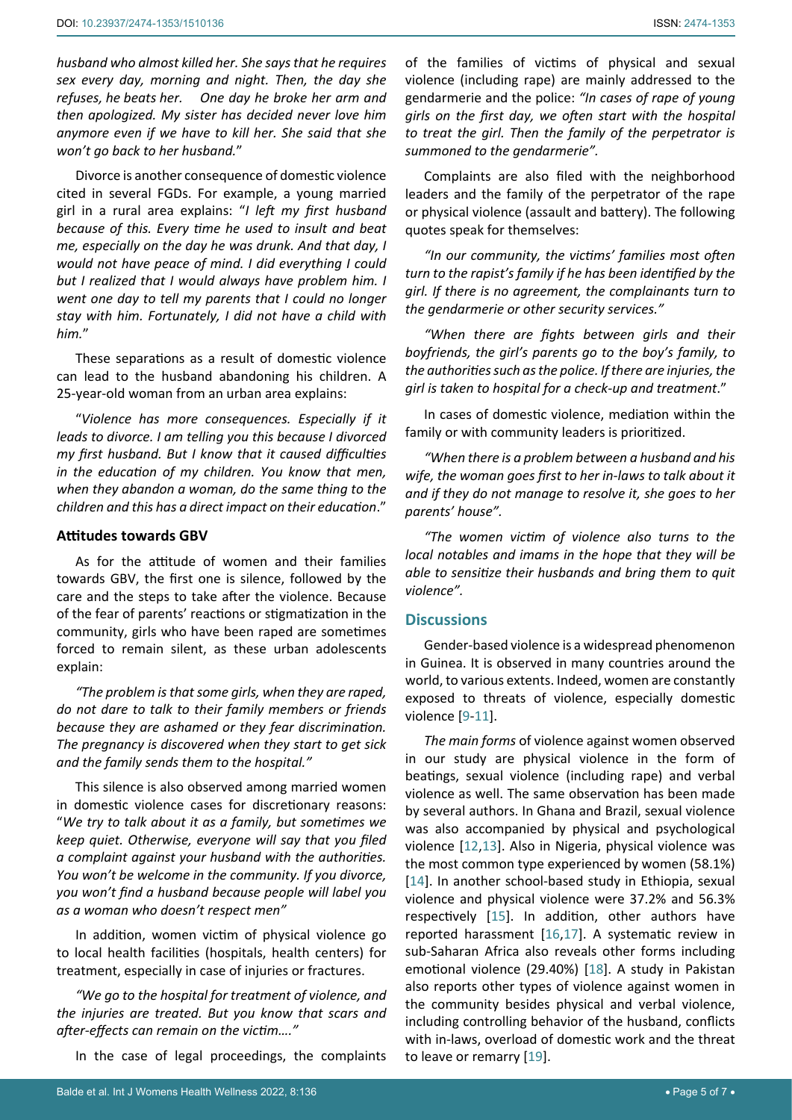*husband who almost killed her. She says that he requires sex every day, morning and night. Then, the day she refuses, he beats her. One day he broke her arm and then apologized. My sister has decided never love him anymore even if we have to kill her. She said that she won't go back to her husband.*"

Divorce is another consequence of domestic violence cited in several FGDs. For example, a young married girl in a rural area explains: "*I left my first husband because of this. Every time he used to insult and beat me, especially on the day he was drunk. And that day, I would not have peace of mind. I did everything I could but I realized that I would always have problem him. I went one day to tell my parents that I could no longer stay with him. Fortunately, I did not have a child with him.*"

These separations as a result of domestic violence can lead to the husband abandoning his children. A 25-year-old woman from an urban area explains:

"*Violence has more consequences. Especially if it leads to divorce. I am telling you this because I divorced my first husband. But I know that it caused difficulties in the education of my children. You know that men, when they abandon a woman, do the same thing to the children and this has a direct impact on their education*."

## **Attitudes towards GBV**

As for the attitude of women and their families towards GBV, the first one is silence, followed by the care and the steps to take after the violence. Because of the fear of parents' reactions or stigmatization in the community, girls who have been raped are sometimes forced to remain silent, as these urban adolescents explain:

*"The problem is that some girls, when they are raped, do not dare to talk to their family members or friends because they are ashamed or they fear discrimination. The pregnancy is discovered when they start to get sick and the family sends them to the hospital."*

This silence is also observed among married women in domestic violence cases for discretionary reasons: "*We try to talk about it as a family, but sometimes we keep quiet. Otherwise, everyone will say that you filed a complaint against your husband with the authorities. You won't be welcome in the community. If you divorce, you won't find a husband because people will label you as a woman who doesn't respect men"*

In addition, women victim of physical violence go to local health facilities (hospitals, health centers) for treatment, especially in case of injuries or fractures.

*"We go to the hospital for treatment of violence, and the injuries are treated. But you know that scars and after-effects can remain on the victim…."*

In the case of legal proceedings, the complaints

of the families of victims of physical and sexual violence (including rape) are mainly addressed to the gendarmerie and the police: *"In cases of rape of young girls on the first day, we often start with the hospital to treat the girl. Then the family of the perpetrator is summoned to the gendarmerie".*

Complaints are also filed with the neighborhood leaders and the family of the perpetrator of the rape or physical violence (assault and battery). The following quotes speak for themselves:

*"In our community, the victims' families most often turn to the rapist's family if he has been identified by the girl. If there is no agreement, the complainants turn to the gendarmerie or other security services."*

*"When there are fights between girls and their boyfriends, the girl's parents go to the boy's family, to the authorities such as the police. If there are injuries, the girl is taken to hospital for a check-up and treatment*."

In cases of domestic violence, mediation within the family or with community leaders is prioritized.

*"When there is a problem between a husband and his wife, the woman goes first to her in-laws to talk about it and if they do not manage to resolve it, she goes to her parents' house".*

*"The women victim of violence also turns to the local notables and imams in the hope that they will be able to sensitize their husbands and bring them to quit violence".*

## **Discussions**

Gender-based violence is a widespread phenomenon in Guinea. It is observed in many countries around the world, to various extents. Indeed, women are constantly exposed to threats of violence, especially domestic violence [[9](#page-6-8)-[11](#page-6-9)].

*The main forms* of violence against women observed in our study are physical violence in the form of beatings, sexual violence (including rape) and verbal violence as well. The same observation has been made by several authors. In Ghana and Brazil, sexual violence was also accompanied by physical and psychological violence [[12](#page-6-10),[13\]](#page-6-11). Also in Nigeria, physical violence was the most common type experienced by women (58.1%) [\[14](#page-6-12)]. In another school-based study in Ethiopia, sexual violence and physical violence were 37.2% and 56.3% respectively [\[15](#page-6-13)]. In addition, other authors have reported harassment [[16](#page-6-14),[17\]](#page-6-15). A systematic review in sub-Saharan Africa also reveals other forms including emotional violence (29.40%) [[18\]](#page-6-16). A study in Pakistan also reports other types of violence against women in the community besides physical and verbal violence, including controlling behavior of the husband, conflicts with in-laws, overload of domestic work and the threat to leave or remarry [[19](#page-6-17)].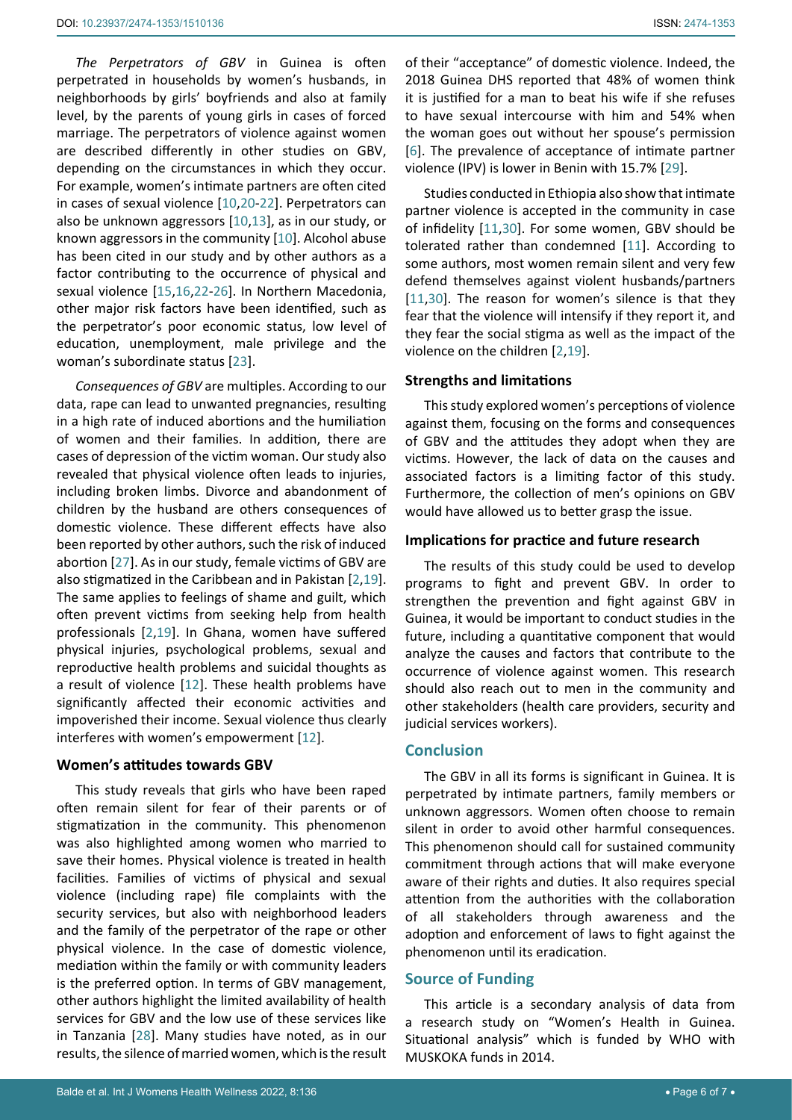*The Perpetrators of GBV* in Guinea is often perpetrated in households by women's husbands, in neighborhoods by girls' boyfriends and also at family level, by the parents of young girls in cases of forced marriage. The perpetrators of violence against women are described differently in other studies on GBV, depending on the circumstances in which they occur. For example, women's intimate partners are often cited in cases of sexual violence [[10](#page-6-20),[20](#page-6-21)-[22](#page-6-22)]. Perpetrators can also be unknown aggressors [\[10](#page-6-20),[13](#page-6-11)], as in our study, or known aggressors in the community [[10\]](#page-6-20). Alcohol abuse has been cited in our study and by other authors as a factor contributing to the occurrence of physical and sexual violence [\[15](#page-6-13),[16](#page-6-14),[22](#page-6-22)[-26\]](#page-6-23). In Northern Macedonia, other major risk factors have been identified, such as the perpetrator's poor economic status, low level of education, unemployment, male privilege and the woman's subordinate status [[23](#page-6-24)].

*Consequences of GBV* are multiples. According to our data, rape can lead to unwanted pregnancies, resulting in a high rate of induced abortions and the humiliation of women and their families. In addition, there are cases of depression of the victim woman. Our study also revealed that physical violence often leads to injuries, including broken limbs. Divorce and abandonment of children by the husband are others consequences of domestic violence. These different effects have also been reported by other authors, such the risk of induced abortion [[27\]](#page-6-25). As in our study, female victims of GBV are also stigmatized in the Caribbean and in Pakistan [[2,](#page-6-1)[19](#page-6-17)]. The same applies to feelings of shame and guilt, which often prevent victims from seeking help from health professionals [[2](#page-6-1),[19\]](#page-6-17). In Ghana, women have suffered physical injuries, psychological problems, sexual and reproductive health problems and suicidal thoughts as a result of violence [[12](#page-6-10)]. These health problems have significantly affected their economic activities and impoverished their income. Sexual violence thus clearly interferes with women's empowerment [[12](#page-6-10)].

#### **Women's attitudes towards GBV**

This study reveals that girls who have been raped often remain silent for fear of their parents or of stigmatization in the community. This phenomenon was also highlighted among women who married to save their homes. Physical violence is treated in health facilities. Families of victims of physical and sexual violence (including rape) file complaints with the security services, but also with neighborhood leaders and the family of the perpetrator of the rape or other physical violence. In the case of domestic violence, mediation within the family or with community leaders is the preferred option. In terms of GBV management, other authors highlight the limited availability of health services for GBV and the low use of these services like in Tanzania [\[28](#page-6-26)]. Many studies have noted, as in our results, the silence of married women, which is the result

of their "acceptance" of domestic violence. Indeed, the 2018 Guinea DHS reported that 48% of women think it is justified for a man to beat his wife if she refuses to have sexual intercourse with him and 54% when the woman goes out without her spouse's permission [\[6\]](#page-6-6). The prevalence of acceptance of intimate partner violence (IPV) is lower in Benin with 15.7% [[29](#page-6-18)].

Studies conducted in Ethiopia also show that intimate partner violence is accepted in the community in case of infidelity [[11](#page-6-9),[30\]](#page-6-19). For some women, GBV should be tolerated rather than condemned [\[11\]](#page-6-9). According to some authors, most women remain silent and very few defend themselves against violent husbands/partners [\[11](#page-6-9),[30](#page-6-19)]. The reason for women's silence is that they fear that the violence will intensify if they report it, and they fear the social stigma as well as the impact of the violence on the children [[2,](#page-6-1)[19](#page-6-17)].

## **Strengths and limitations**

This study explored women's perceptions of violence against them, focusing on the forms and consequences of GBV and the attitudes they adopt when they are victims. However, the lack of data on the causes and associated factors is a limiting factor of this study. Furthermore, the collection of men's opinions on GBV would have allowed us to better grasp the issue.

#### **Implications for practice and future research**

The results of this study could be used to develop programs to fight and prevent GBV. In order to strengthen the prevention and fight against GBV in Guinea, it would be important to conduct studies in the future, including a quantitative component that would analyze the causes and factors that contribute to the occurrence of violence against women. This research should also reach out to men in the community and other stakeholders (health care providers, security and judicial services workers).

## **Conclusion**

The GBV in all its forms is significant in Guinea. It is perpetrated by intimate partners, family members or unknown aggressors. Women often choose to remain silent in order to avoid other harmful consequences. This phenomenon should call for sustained community commitment through actions that will make everyone aware of their rights and duties. It also requires special attention from the authorities with the collaboration of all stakeholders through awareness and the adoption and enforcement of laws to fight against the phenomenon until its eradication.

## **Source of Funding**

This article is a secondary analysis of data from a research study on "Women's Health in Guinea. Situational analysis" which is funded by WHO with MUSKOKA funds in 2014.